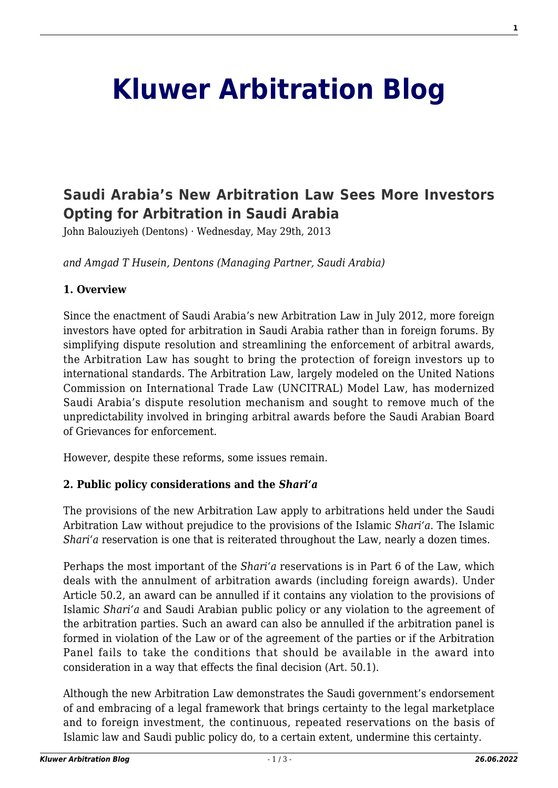# **[Kluwer Arbitration Blog](http://arbitrationblog.kluwerarbitration.com/)**

# **[Saudi Arabia's New Arbitration Law Sees More Investors](http://arbitrationblog.kluwerarbitration.com/2013/05/29/saudi-arabias-new-arbitration-law-sees-more-investors-opting-for-arbitration-in-saudi-arabia/) [Opting for Arbitration in Saudi Arabia](http://arbitrationblog.kluwerarbitration.com/2013/05/29/saudi-arabias-new-arbitration-law-sees-more-investors-opting-for-arbitration-in-saudi-arabia/)**

John Balouziyeh (Dentons) · Wednesday, May 29th, 2013

*and Amgad T Husein, Dentons (Managing Partner, Saudi Arabia)*

#### **1. Overview**

Since the enactment of Saudi Arabia's new Arbitration Law in July 2012, more foreign investors have opted for arbitration in Saudi Arabia rather than in foreign forums. By simplifying dispute resolution and streamlining the enforcement of arbitral awards, the Arbitration Law has sought to bring the protection of foreign investors up to international standards. The Arbitration Law, largely modeled on the United Nations Commission on International Trade Law (UNCITRAL) Model Law, has modernized Saudi Arabia's dispute resolution mechanism and sought to remove much of the unpredictability involved in bringing arbitral awards before the Saudi Arabian Board of Grievances for enforcement.

However, despite these reforms, some issues remain.

#### **2. Public policy considerations and the** *Shari'a*

The provisions of the new Arbitration Law apply to arbitrations held under the Saudi Arbitration Law without prejudice to the provisions of the Islamic *Shari'a*. The Islamic *Shari'a* reservation is one that is reiterated throughout the Law, nearly a dozen times.

Perhaps the most important of the *Shari'a* reservations is in Part 6 of the Law, which deals with the annulment of arbitration awards (including foreign awards). Under Article 50.2, an award can be annulled if it contains any violation to the provisions of Islamic *Shari'a* and Saudi Arabian public policy or any violation to the agreement of the arbitration parties. Such an award can also be annulled if the arbitration panel is formed in violation of the Law or of the agreement of the parties or if the Arbitration Panel fails to take the conditions that should be available in the award into consideration in a way that effects the final decision (Art. 50.1).

Although the new Arbitration Law demonstrates the Saudi government's endorsement of and embracing of a legal framework that brings certainty to the legal marketplace and to foreign investment, the continuous, repeated reservations on the basis of Islamic law and Saudi public policy do, to a certain extent, undermine this certainty.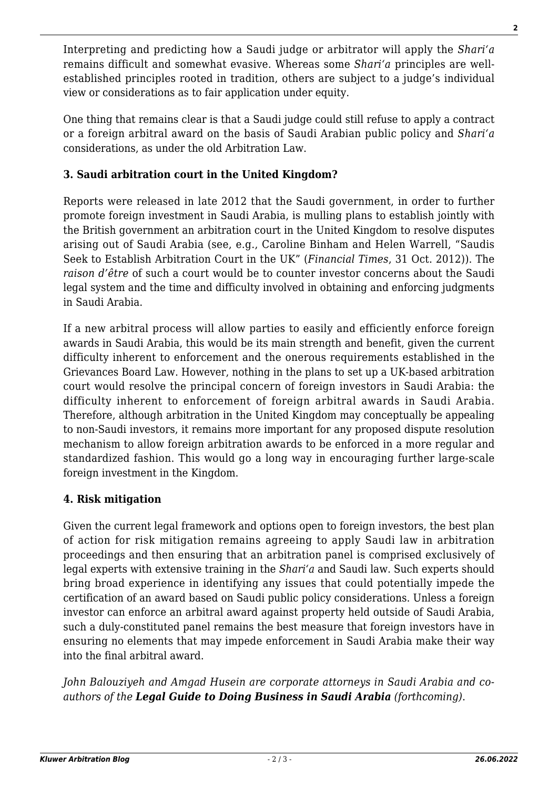Interpreting and predicting how a Saudi judge or arbitrator will apply the *Shari'a* remains difficult and somewhat evasive. Whereas some *Shari'a* principles are wellestablished principles rooted in tradition, others are subject to a judge's individual view or considerations as to fair application under equity.

One thing that remains clear is that a Saudi judge could still refuse to apply a contract or a foreign arbitral award on the basis of Saudi Arabian public policy and *Shari'a* considerations, as under the old Arbitration Law.

## **3. Saudi arbitration court in the United Kingdom?**

Reports were released in late 2012 that the Saudi government, in order to further promote foreign investment in Saudi Arabia, is mulling plans to establish jointly with the British government an arbitration court in the United Kingdom to resolve disputes arising out of Saudi Arabia (see, e.g., Caroline Binham and Helen Warrell, "Saudis Seek to Establish Arbitration Court in the UK" (*Financial Times*, 31 Oct. 2012)). The *raison d'être* of such a court would be to counter investor concerns about the Saudi legal system and the time and difficulty involved in obtaining and enforcing judgments in Saudi Arabia.

If a new arbitral process will allow parties to easily and efficiently enforce foreign awards in Saudi Arabia, this would be its main strength and benefit, given the current difficulty inherent to enforcement and the onerous requirements established in the Grievances Board Law. However, nothing in the plans to set up a UK-based arbitration court would resolve the principal concern of foreign investors in Saudi Arabia: the difficulty inherent to enforcement of foreign arbitral awards in Saudi Arabia. Therefore, although arbitration in the United Kingdom may conceptually be appealing to non-Saudi investors, it remains more important for any proposed dispute resolution mechanism to allow foreign arbitration awards to be enforced in a more regular and standardized fashion. This would go a long way in encouraging further large-scale foreign investment in the Kingdom.

### **4. Risk mitigation**

Given the current legal framework and options open to foreign investors, the best plan of action for risk mitigation remains agreeing to apply Saudi law in arbitration proceedings and then ensuring that an arbitration panel is comprised exclusively of legal experts with extensive training in the *Shari'a* and Saudi law. Such experts should bring broad experience in identifying any issues that could potentially impede the certification of an award based on Saudi public policy considerations. Unless a foreign investor can enforce an arbitral award against property held outside of Saudi Arabia, such a duly-constituted panel remains the best measure that foreign investors have in ensuring no elements that may impede enforcement in Saudi Arabia make their way into the final arbitral award.

*John Balouziyeh and Amgad Husein are corporate attorneys in Saudi Arabia and coauthors of the Legal Guide to Doing Business in Saudi Arabia (forthcoming)*.